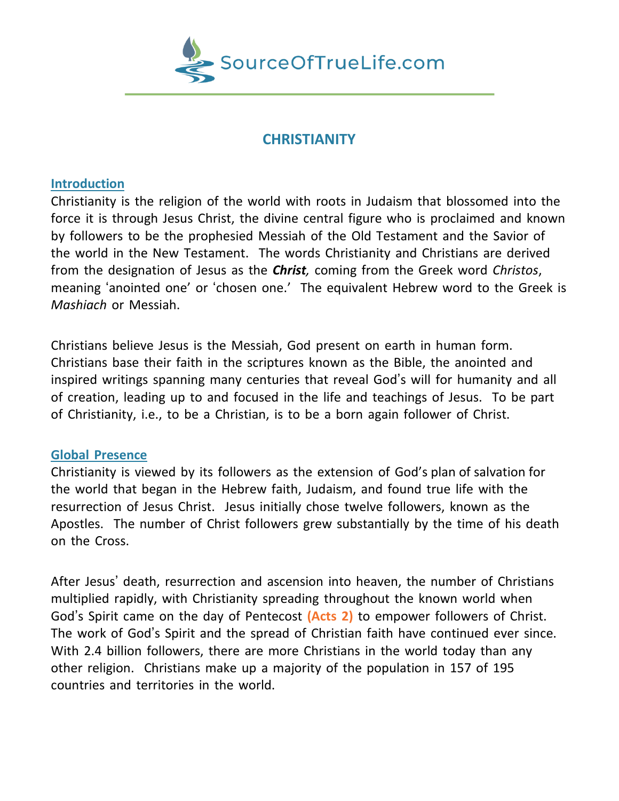

# **CHRISTIANITY**

### **Introduction**

Christianity is the religion of the world with roots in Judaism that blossomed into the force it is through Jesus Christ, the divine central figure who is proclaimed and known by followers to be the prophesied Messiah of the Old Testament and the Savior of the world in the New Testament. The words Christianity and Christians are derived from the designation of Jesus as the *Christ,* coming from the Greek word *Christos*, meaning 'anointed one' or 'chosen one.' The equivalent Hebrew word to the Greek is *Mashiach* or Messiah.

Christians believe Jesus is the Messiah, God present on earth in human form. Christians base their faith in the scriptures known as the Bible, the anointed and inspired writings spanning many centuries that reveal God's will for humanity and all of creation, leading up to and focused in the life and teachings of Jesus. To be part of Christianity, i.e., to be a Christian, is to be a born again follower of Christ.

#### **Global Presence**

Christianity is viewed by its followers as the extension of God's plan of salvation for the world that began in the Hebrew faith, Judaism, and found true life with the resurrection of Jesus Christ. Jesus initially chose twelve followers, known as the Apostles. The number of Christ followers grew substantially by the time of his death on the Cross.

After Jesus' death, resurrection and ascension into heaven, the number of Christians multiplied rapidly, with Christianity spreading throughout the known world when God's Spirit came on the day of Pentecost **(Acts 2)** to empower followers of Christ. The work of God's Spirit and the spread of Christian faith have continued ever since. With 2.4 billion followers, there are more Christians in the world today than any other religion. Christians make up a majority of the population in 157 of 195 countries and territories in the world.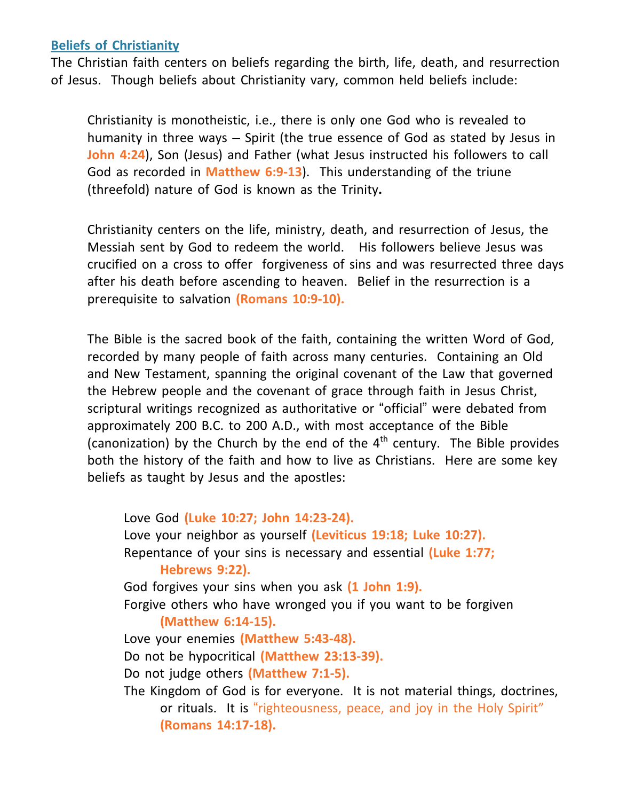#### **Beliefs of Christianity**

The Christian faith centers on beliefs regarding the birth, life, death, and resurrection of Jesus. Though beliefs about Christianity vary, common held beliefs include:

Christianity is monotheistic, i.e., there is only one God who is revealed to humanity in three ways – Spirit (the true essence of God as stated by Jesus in **John 4:24**), Son (Jesus) and Father (what Jesus instructed his followers to call God as recorded in **Matthew 6:9-13**). This understanding of the triune (threefold) nature of God is known as the Trinity**.**

Christianity centers on the life, ministry, death, and resurrection of Jesus, the Messiah sent by God to redeem the world. His followers believe Jesus was crucified on a cross to offer forgiveness of sins and was resurrected three days after his death before ascending to heaven. Belief in the resurrection is a prerequisite to salvation **(Romans 10:9-10).**

The Bible is the sacred book of the faith, containing the written Word of God, recorded by many people of faith across many centuries. Containing an Old and New Testament, spanning the original covenant of the Law that governed the Hebrew people and the covenant of grace through faith in Jesus Christ, scriptural writings recognized as authoritative or "official" were debated from approximately 200 B.C. to 200 A.D., with most acceptance of the Bible (canonization) by the Church by the end of the  $4<sup>th</sup>$  century. The Bible provides both the history of the faith and how to live as Christians. Here are some key beliefs as taught by Jesus and the apostles:

Love God **(Luke 10:27; John 14:23-24).** Love your neighbor as yourself **(Leviticus 19:18; Luke 10:27).** Repentance of your sins is necessary and essential **(Luke 1:77; Hebrews 9:22).** God forgives your sins when you ask **(1 John 1:9).** Forgive others who have wronged you if you want to be forgiven **(Matthew 6:14-15).** Love your enemies **(Matthew 5:43-48).** Do not be hypocritical **(Matthew 23:13-39).** Do not judge others **(Matthew 7:1-5).** The Kingdom of God is for everyone. It is not material things, doctrines, or rituals. It is "righteousness, peace, and joy in the Holy Spirit" **(Romans 14:17-18).**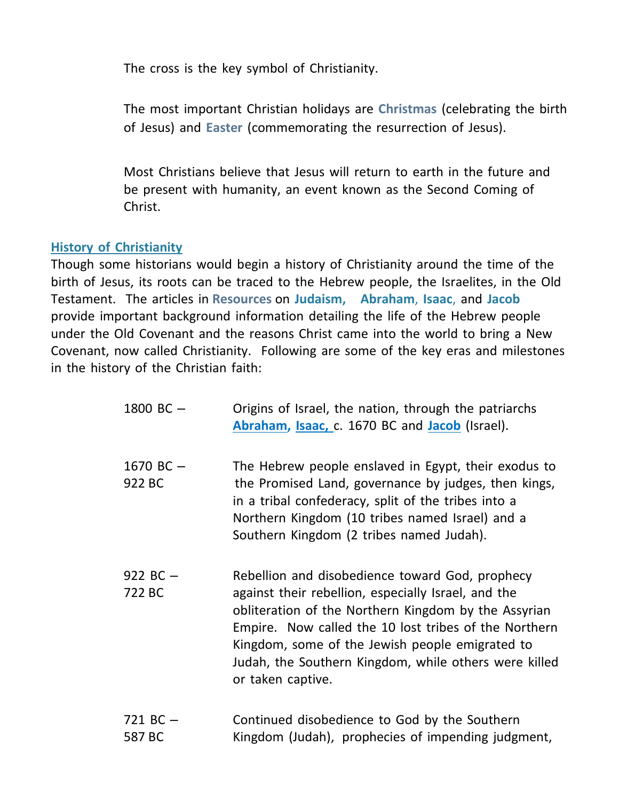The cross is the key symbol of Christianity.

The most important Christian holidays are **Christmas** (celebrating the birth of Jesus) and **Easter** (commemorating the resurrection of Jesus).

Most Christians believe that Jesus will return to earth in the future and be present with humanity, an event known as the Second Coming of Christ.

# **History of Christianity**

Though some historians would begin a history of Christianity around the time of the birth of Jesus, its roots can be traced to the Hebrew people, the Israelites, in the Old Testament. The articles in **Resources** on **Judaism, Abraham**, **Isaac**, and **Jacob** provide important background information detailing the life of the Hebrew people under the Old Covenant and the reasons Christ came into the world to bring a New Covenant, now called Christianity. Following are some of the key eras and milestones in the history of the Christian faith:

| 1800 BC-              | Origins of Israel, the nation, through the patriarchs<br>Abraham, Isaac, c. 1670 BC and Jacob (Israel).                                                                                                                                                                                                                                                  |
|-----------------------|----------------------------------------------------------------------------------------------------------------------------------------------------------------------------------------------------------------------------------------------------------------------------------------------------------------------------------------------------------|
| $1670 BC -$<br>922 BC | The Hebrew people enslaved in Egypt, their exodus to<br>the Promised Land, governance by judges, then kings,<br>in a tribal confederacy, split of the tribes into a<br>Northern Kingdom (10 tribes named Israel) and a<br>Southern Kingdom (2 tribes named Judah).                                                                                       |
| 922 BC -<br>722 BC    | Rebellion and disobedience toward God, prophecy<br>against their rebellion, especially Israel, and the<br>obliteration of the Northern Kingdom by the Assyrian<br>Empire. Now called the 10 lost tribes of the Northern<br>Kingdom, some of the Jewish people emigrated to<br>Judah, the Southern Kingdom, while others were killed<br>or taken captive. |
| 721 BC -              | Continued disobedience to God by the Southern                                                                                                                                                                                                                                                                                                            |

587 BC Kingdom (Judah), prophecies of impending judgment,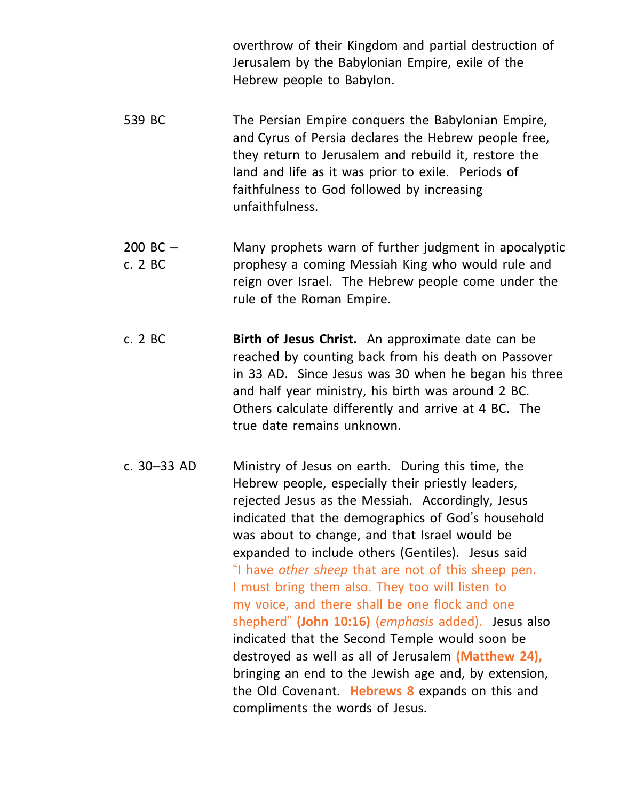overthrow of their Kingdom and partial destruction of Jerusalem by the Babylonian Empire, exile of the Hebrew people to Babylon.

- 539 BC The Persian Empire conquers the Babylonian Empire, and Cyrus of Persia declares the Hebrew people free, they return to Jerusalem and rebuild it, restore the land and life as it was prior to exile. Periods of faithfulness to God followed by increasing unfaithfulness.
- 200 BC Many prophets warn of further judgment in apocalyptic c. 2 BC prophesy a coming Messiah King who would rule and reign over Israel. The Hebrew people come under the rule of the Roman Empire.
- c. 2 BC **Birth of Jesus Christ.** An approximate date can be reached by counting back from his death on Passover in 33 AD. Since Jesus was 30 when he began his three and half year ministry, his birth was around 2 BC. Others calculate differently and arrive at 4 BC. The true date remains unknown.
- c. 30–33 AD Ministry of Jesus on earth. During this time, the Hebrew people, especially their priestly leaders, rejected Jesus as the Messiah. Accordingly, Jesus indicated that the demographics of God's household was about to change, and that Israel would be expanded to include others (Gentiles). Jesus said "I have *other sheep* that are not of this sheep pen. I must bring them also. They too will listen to my voice, and there shall be one flock and one shepherd" **(John 10:16)** (*emphasis* added). Jesus also indicated that the Second Temple would soon be destroyed as well as all of Jerusalem **(Matthew 24),** bringing an end to the Jewish age and, by extension, the Old Covenant. **Hebrews 8** expands on this and compliments the words of Jesus.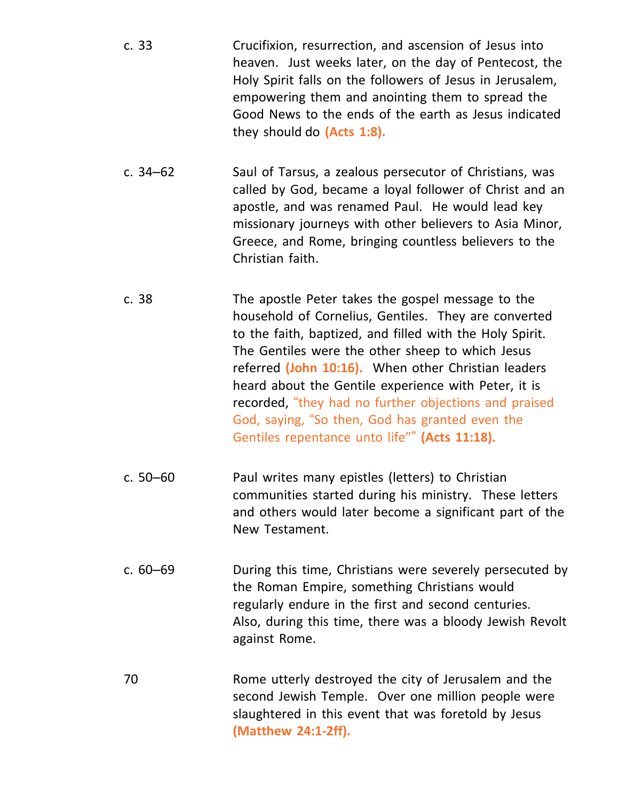| c.33         | Crucifixion, resurrection, and ascension of Jesus into<br>heaven. Just weeks later, on the day of Pentecost, the<br>Holy Spirit falls on the followers of Jesus in Jerusalem,<br>empowering them and anointing them to spread the<br>Good News to the ends of the earth as Jesus indicated<br>they should do (Acts 1:8).                                                                                                                                                                              |
|--------------|-------------------------------------------------------------------------------------------------------------------------------------------------------------------------------------------------------------------------------------------------------------------------------------------------------------------------------------------------------------------------------------------------------------------------------------------------------------------------------------------------------|
| c. $34 - 62$ | Saul of Tarsus, a zealous persecutor of Christians, was<br>called by God, became a loyal follower of Christ and an<br>apostle, and was renamed Paul. He would lead key<br>missionary journeys with other believers to Asia Minor,<br>Greece, and Rome, bringing countless believers to the<br>Christian faith.                                                                                                                                                                                        |
| c. 38        | The apostle Peter takes the gospel message to the<br>household of Cornelius, Gentiles. They are converted<br>to the faith, baptized, and filled with the Holy Spirit.<br>The Gentiles were the other sheep to which Jesus<br>referred (John 10:16). When other Christian leaders<br>heard about the Gentile experience with Peter, it is<br>recorded, "they had no further objections and praised<br>God, saying, "So then, God has granted even the<br>Gentiles repentance unto life"" (Acts 11:18). |
| c. $50 - 60$ | Paul writes many epistles (letters) to Christian<br>communities started during his ministry. These letters<br>and others would later become a significant part of the<br>New Testament.                                                                                                                                                                                                                                                                                                               |
| $c.60 - 69$  | During this time, Christians were severely persecuted by<br>the Roman Empire, something Christians would<br>regularly endure in the first and second centuries.<br>Also, during this time, there was a bloody Jewish Revolt<br>against Rome.                                                                                                                                                                                                                                                          |
| 70           | Rome utterly destroyed the city of Jerusalem and the<br>second Jewish Temple. Over one million people were<br>slaughtered in this event that was foretold by Jesus<br>(Matthew 24:1-2ff).                                                                                                                                                                                                                                                                                                             |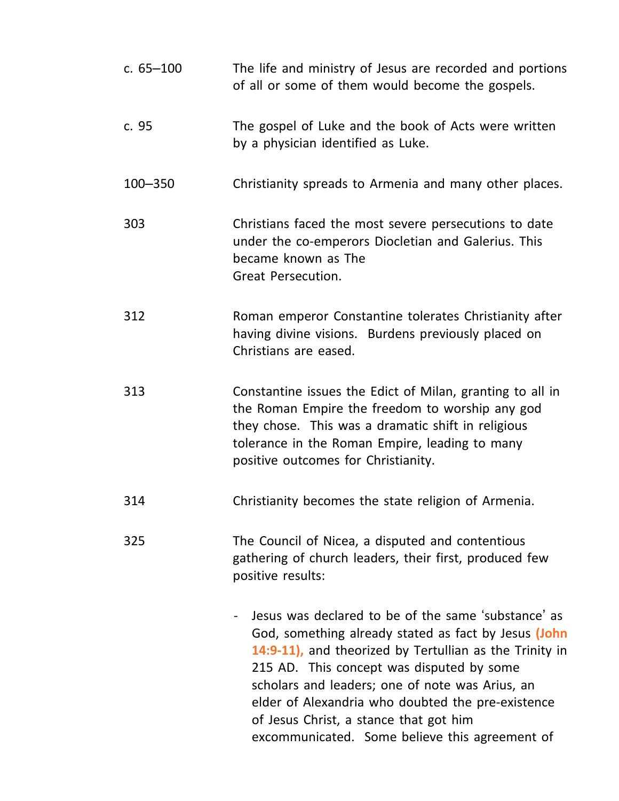| c. $65 - 100$ | The life and ministry of Jesus are recorded and portions<br>of all or some of them would become the gospels.                                                                                                                                                                                                                                                          |
|---------------|-----------------------------------------------------------------------------------------------------------------------------------------------------------------------------------------------------------------------------------------------------------------------------------------------------------------------------------------------------------------------|
| c. 95         | The gospel of Luke and the book of Acts were written<br>by a physician identified as Luke.                                                                                                                                                                                                                                                                            |
| 100 - 350     | Christianity spreads to Armenia and many other places.                                                                                                                                                                                                                                                                                                                |
| 303           | Christians faced the most severe persecutions to date<br>under the co-emperors Diocletian and Galerius. This<br>became known as The<br>Great Persecution.                                                                                                                                                                                                             |
| 312           | Roman emperor Constantine tolerates Christianity after<br>having divine visions. Burdens previously placed on<br>Christians are eased.                                                                                                                                                                                                                                |
| 313           | Constantine issues the Edict of Milan, granting to all in<br>the Roman Empire the freedom to worship any god<br>they chose. This was a dramatic shift in religious<br>tolerance in the Roman Empire, leading to many<br>positive outcomes for Christianity.                                                                                                           |
| 314           | Christianity becomes the state religion of Armenia.                                                                                                                                                                                                                                                                                                                   |
| 325           | The Council of Nicea, a disputed and contentious<br>gathering of church leaders, their first, produced few<br>positive results:                                                                                                                                                                                                                                       |
|               | Jesus was declared to be of the same 'substance' as<br>God, something already stated as fact by Jesus (John<br>14:9-11), and theorized by Tertullian as the Trinity in<br>215 AD. This concept was disputed by some<br>scholars and leaders; one of note was Arius, an<br>elder of Alexandria who doubted the pre-existence<br>of Jesus Christ, a stance that got him |

excommunicated. Some believe this agreement of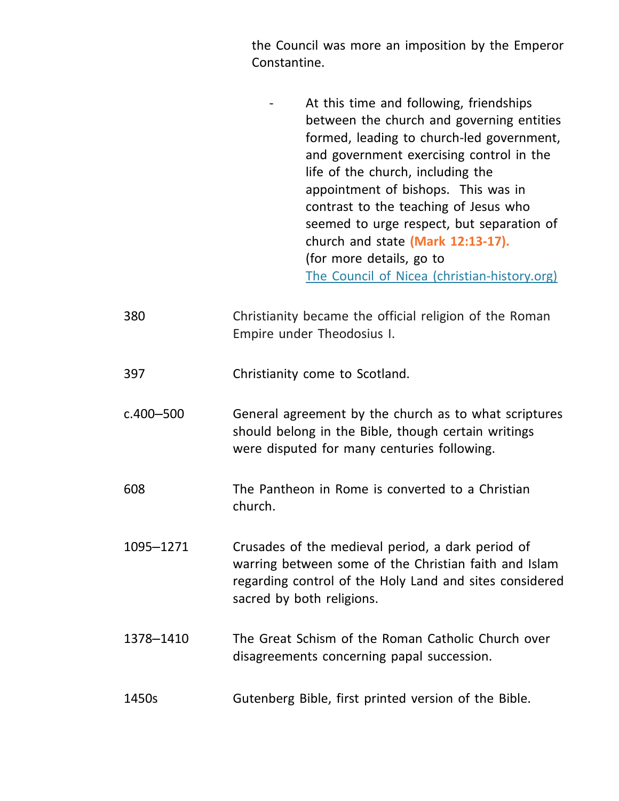the Council was more an imposition by the Emperor Constantine.

- At this time and following, friendships between the church and governing entities formed, leading to church-led government, and government exercising control in the life of the church, including the appointment of bishops. This was in contrast to the teaching of Jesus who seemed to urge respect, but separation of church and state **(Mark 12:13-17).** (for more details, go to The Council of Nicea [\(christian-history.org\)](https://www.christian-history.org/council-of-nicea.html)
- 380 Christianity became the official religion of the Roman Empire under Theodosius I.

397 Christianity come to Scotland.

- c.400–500 General agreement by the church as to what scriptures should belong in the Bible, though certain writings were disputed for many centuries following.
- 608 The Pantheon in Rome is converted to a Christian church.
- 1095–1271 Crusades of the medieval period, a dark period of warring between some of the Christian faith and Islam regarding control of the Holy Land and sites considered sacred by both religions.
- 1378–1410 The Great Schism of the Roman Catholic Church over disagreements concerning papal succession.
- 1450s Gutenberg Bible, first printed version of the Bible.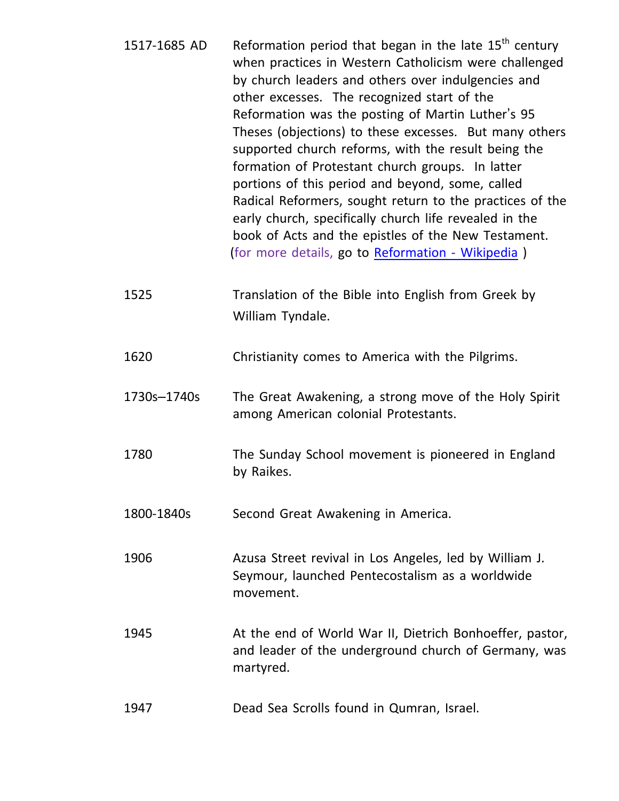| 1517-1685 AD | Reformation period that began in the late $15th$ century<br>when practices in Western Catholicism were challenged<br>by church leaders and others over indulgencies and<br>other excesses. The recognized start of the<br>Reformation was the posting of Martin Luther's 95<br>Theses (objections) to these excesses. But many others<br>supported church reforms, with the result being the<br>formation of Protestant church groups. In latter<br>portions of this period and beyond, some, called<br>Radical Reformers, sought return to the practices of the<br>early church, specifically church life revealed in the<br>book of Acts and the epistles of the New Testament.<br>(for more details, go to Reformation - Wikipedia) |
|--------------|----------------------------------------------------------------------------------------------------------------------------------------------------------------------------------------------------------------------------------------------------------------------------------------------------------------------------------------------------------------------------------------------------------------------------------------------------------------------------------------------------------------------------------------------------------------------------------------------------------------------------------------------------------------------------------------------------------------------------------------|
| 1525         | Translation of the Bible into English from Greek by<br>William Tyndale.                                                                                                                                                                                                                                                                                                                                                                                                                                                                                                                                                                                                                                                                |
| 1620         | Christianity comes to America with the Pilgrims.                                                                                                                                                                                                                                                                                                                                                                                                                                                                                                                                                                                                                                                                                       |
| 1730s-1740s  | The Great Awakening, a strong move of the Holy Spirit<br>among American colonial Protestants.                                                                                                                                                                                                                                                                                                                                                                                                                                                                                                                                                                                                                                          |
| 1780         | The Sunday School movement is pioneered in England<br>by Raikes.                                                                                                                                                                                                                                                                                                                                                                                                                                                                                                                                                                                                                                                                       |
| 1800-1840s   | Second Great Awakening in America.                                                                                                                                                                                                                                                                                                                                                                                                                                                                                                                                                                                                                                                                                                     |
| 1906         | Azusa Street revival in Los Angeles, led by William J.<br>Seymour, launched Pentecostalism as a worldwide<br>movement.                                                                                                                                                                                                                                                                                                                                                                                                                                                                                                                                                                                                                 |
| 1945         | At the end of World War II, Dietrich Bonhoeffer, pastor,<br>and leader of the underground church of Germany, was<br>martyred.                                                                                                                                                                                                                                                                                                                                                                                                                                                                                                                                                                                                          |
| 1947         | Dead Sea Scrolls found in Qumran, Israel.                                                                                                                                                                                                                                                                                                                                                                                                                                                                                                                                                                                                                                                                                              |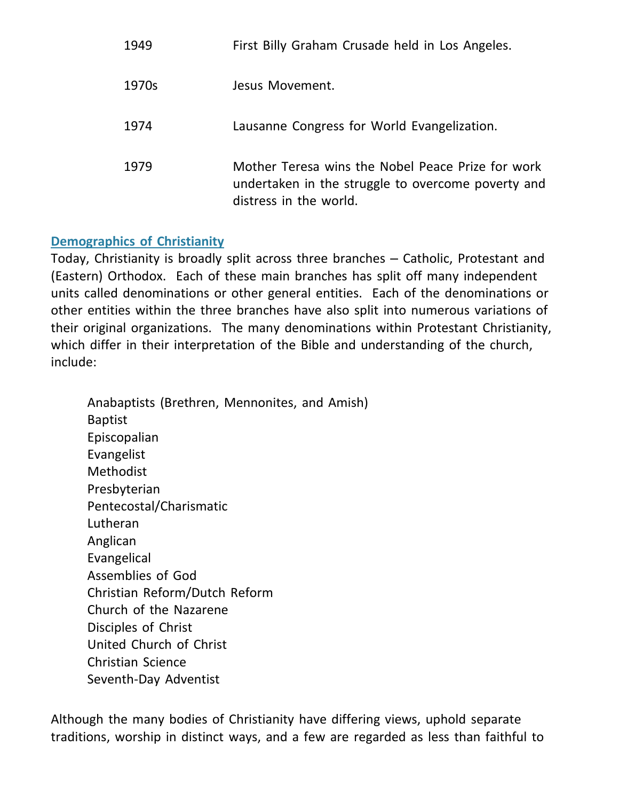| 1949  | First Billy Graham Crusade held in Los Angeles.                                                                                   |
|-------|-----------------------------------------------------------------------------------------------------------------------------------|
| 1970s | Jesus Movement.                                                                                                                   |
| 1974  | Lausanne Congress for World Evangelization.                                                                                       |
| 1979  | Mother Teresa wins the Nobel Peace Prize for work<br>undertaken in the struggle to overcome poverty and<br>distress in the world. |

# **Demographics of Christianity**

Today, Christianity is broadly split across three branches – Catholic, Protestant and (Eastern) Orthodox. Each of these main branches has split off many independent units called denominations or other general entities. Each of the denominations or other entities within the three branches have also split into numerous variations of their original organizations. The many denominations within Protestant Christianity, which differ in their interpretation of the Bible and understanding of the church, include:

Anabaptists (Brethren, Mennonites, and Amish) Baptist Episcopalian Evangelist Methodist Presbyterian Pentecostal/Charismatic Lutheran Anglican Evangelical Assemblies of God Christian Reform/Dutch Reform Church of the Nazarene Disciples of Christ United Church of Christ Christian Science Seventh-Day Adventist

Although the many bodies of Christianity have differing views, uphold separate traditions, worship in distinct ways, and a few are regarded as less than faithful to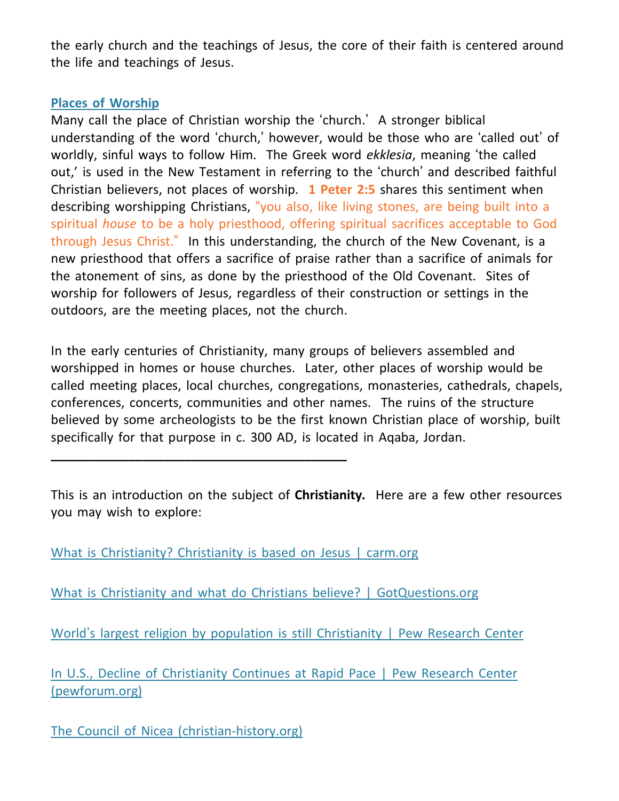the early church and the teachings of Jesus, the core of their faith is centered around the life and teachings of Jesus.

## **Places of Worship**

Many call the place of Christian worship the 'church.' A stronger biblical understanding of the word 'church,' however, would be those who are 'called out' of worldly, sinful ways to follow Him. The Greek word *ekklesia*, meaning 'the called out,' is used in the New Testament in referring to the 'church' and described faithful Christian believers, not places of worship. **1 Peter 2:5** shares this sentiment when describing worshipping Christians, "you also, like living stones, are being built into a spiritual *house* to be a holy priesthood, offering spiritual sacrifices acceptable to God through Jesus Christ." In this understanding, the church of the New Covenant, is a new priesthood that offers a sacrifice of praise rather than a sacrifice of animals for the atonement of sins, as done by the priesthood of the Old Covenant. Sites of worship for followers of Jesus, regardless of their construction or settings in the outdoors, are the meeting places, not the church.

In the early centuries of Christianity, many groups of believers assembled and worshipped in homes or house churches. Later, other places of worship would be called meeting places, local churches, congregations, monasteries, cathedrals, chapels, conferences, concerts, communities and other names. The ruins of the structure believed by some archeologists to be the first known Christian place of worship, built specifically for that purpose in c. 300 AD, is located in Aqaba, Jordan.

This is an introduction on the subject of **Christianity***.* Here are a few other resources you may wish to explore:

What is [Christianity?](https://carm.org/answers-for-seekers/what-is-christianity/) Christianity is based on Jesus | carm.org

**\_\_\_\_\_\_\_\_\_\_\_\_\_\_\_\_\_\_\_\_\_\_\_\_\_\_\_\_\_\_\_\_\_\_\_\_\_\_\_\_\_\_**

What is Christianity and what do Christians believe? | [GotQuestions.org](https://www.gotquestions.org/christianity.html)

World's largest religion by population is still [Christianity](https://www.pewresearch.org/fact-tank/2017/04/05/christians-remain-worlds-largest-religious-group-but-they-are-declining-in-europe/) | Pew Research Center

In U.S., Decline of [Christianity](https://www.pewforum.org/2019/10/17/in-u-s-decline-of-christianity-continues-at-rapid-pace/) Continues at Rapid Pace | Pew Research Cente[r](https://www.pewforum.org/2019/10/17/in-u-s-decline-of-christianity-continues-at-rapid-pace/) [\(pewforum.org\)](https://www.pewforum.org/2019/10/17/in-u-s-decline-of-christianity-continues-at-rapid-pace/)

The Council of Nicea [\(christian-history.org\)](https://www.christian-history.org/council-of-nicea.html)